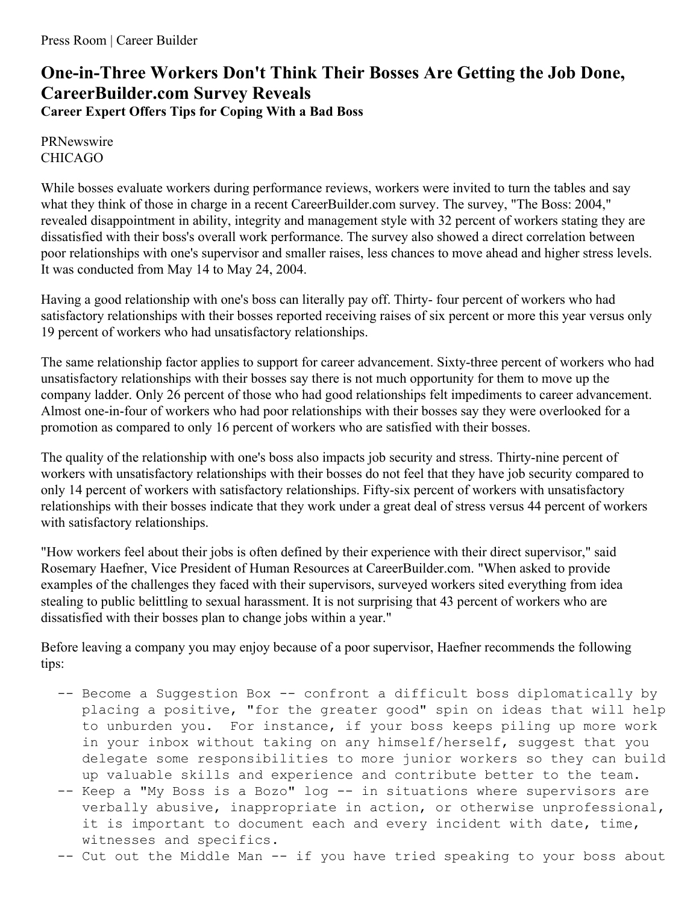## **One-in-Three Workers Don't Think Their Bosses Are Getting the Job Done, CareerBuilder.com Survey Reveals Career Expert Offers Tips for Coping With a Bad Boss**

PRNewswire CHICAGO

While bosses evaluate workers during performance reviews, workers were invited to turn the tables and say what they think of those in charge in a recent CareerBuilder.com survey. The survey, "The Boss: 2004," revealed disappointment in ability, integrity and management style with 32 percent of workers stating they are dissatisfied with their boss's overall work performance. The survey also showed a direct correlation between poor relationships with one's supervisor and smaller raises, less chances to move ahead and higher stress levels. It was conducted from May 14 to May 24, 2004.

Having a good relationship with one's boss can literally pay off. Thirty- four percent of workers who had satisfactory relationships with their bosses reported receiving raises of six percent or more this year versus only 19 percent of workers who had unsatisfactory relationships.

The same relationship factor applies to support for career advancement. Sixty-three percent of workers who had unsatisfactory relationships with their bosses say there is not much opportunity for them to move up the company ladder. Only 26 percent of those who had good relationships felt impediments to career advancement. Almost one-in-four of workers who had poor relationships with their bosses say they were overlooked for a promotion as compared to only 16 percent of workers who are satisfied with their bosses.

The quality of the relationship with one's boss also impacts job security and stress. Thirty-nine percent of workers with unsatisfactory relationships with their bosses do not feel that they have job security compared to only 14 percent of workers with satisfactory relationships. Fifty-six percent of workers with unsatisfactory relationships with their bosses indicate that they work under a great deal of stress versus 44 percent of workers with satisfactory relationships.

"How workers feel about their jobs is often defined by their experience with their direct supervisor," said Rosemary Haefner, Vice President of Human Resources at CareerBuilder.com. "When asked to provide examples of the challenges they faced with their supervisors, surveyed workers sited everything from idea stealing to public belittling to sexual harassment. It is not surprising that 43 percent of workers who are dissatisfied with their bosses plan to change jobs within a year."

Before leaving a company you may enjoy because of a poor supervisor, Haefner recommends the following tips:

- -- Become a Suggestion Box -- confront a difficult boss diplomatically by placing a positive, "for the greater good" spin on ideas that will help to unburden you. For instance, if your boss keeps piling up more work in your inbox without taking on any himself/herself, suggest that you delegate some responsibilities to more junior workers so they can build up valuable skills and experience and contribute better to the team.
- -- Keep a "My Boss is a Bozo" log -- in situations where supervisors are verbally abusive, inappropriate in action, or otherwise unprofessional, it is important to document each and every incident with date, time, witnesses and specifics.

-- Cut out the Middle Man -- if you have tried speaking to your boss about